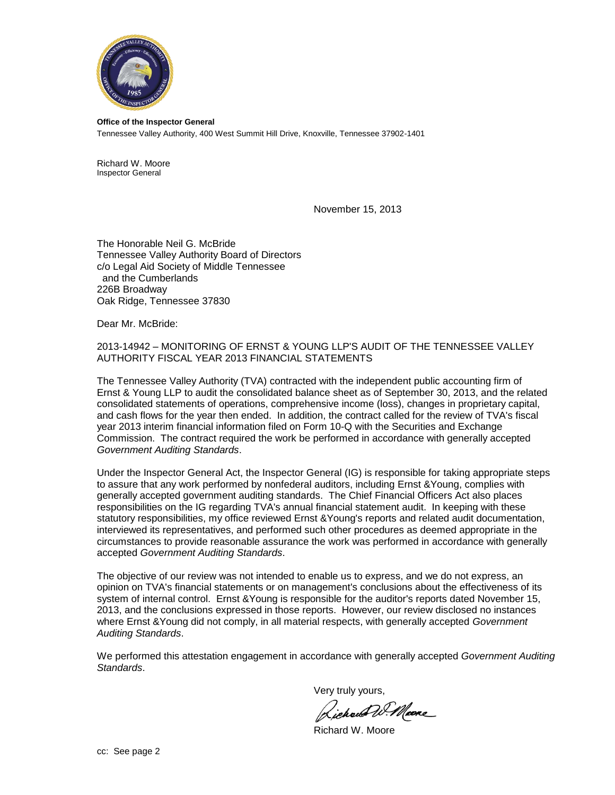

**Office of the Inspector General** Tennessee Valley Authority, 400 West Summit Hill Drive, Knoxville, Tennessee 37902-1401

Richard W. Moore Inspector General

November 15, 2013

The Honorable Neil G. McBride Tennessee Valley Authority Board of Directors c/o Legal Aid Society of Middle Tennessee and the Cumberlands 226B Broadway Oak Ridge, Tennessee 37830

Dear Mr. McBride:

2013-14942 – MONITORING OF ERNST & YOUNG LLP'S AUDIT OF THE TENNESSEE VALLEY AUTHORITY FISCAL YEAR 2013 FINANCIAL STATEMENTS

The Tennessee Valley Authority (TVA) contracted with the independent public accounting firm of Ernst & Young LLP to audit the consolidated balance sheet as of September 30, 2013, and the related consolidated statements of operations, comprehensive income (loss), changes in proprietary capital, and cash flows for the year then ended. In addition, the contract called for the review of TVA's fiscal year 2013 interim financial information filed on Form 10-Q with the Securities and Exchange Commission. The contract required the work be performed in accordance with generally accepted *Government Auditing Standards*.

Under the Inspector General Act, the Inspector General (IG) is responsible for taking appropriate steps to assure that any work performed by nonfederal auditors, including Ernst &Young, complies with generally accepted government auditing standards. The Chief Financial Officers Act also places responsibilities on the IG regarding TVA's annual financial statement audit. In keeping with these statutory responsibilities, my office reviewed Ernst &Young's reports and related audit documentation, interviewed its representatives, and performed such other procedures as deemed appropriate in the circumstances to provide reasonable assurance the work was performed in accordance with generally accepted *Government Auditing Standards*.

The objective of our review was not intended to enable us to express, and we do not express, an opinion on TVA's financial statements or on management's conclusions about the effectiveness of its system of internal control. Ernst &Young is responsible for the auditor's reports dated November 15, 2013, and the conclusions expressed in those reports. However, our review disclosed no instances where Ernst &Young did not comply, in all material respects, with generally accepted *Government Auditing Standards*.

We performed this attestation engagement in accordance with generally accepted *Government Auditing Standards*.

Very truly yours,

Lichard W. Meere

Richard W. Moore